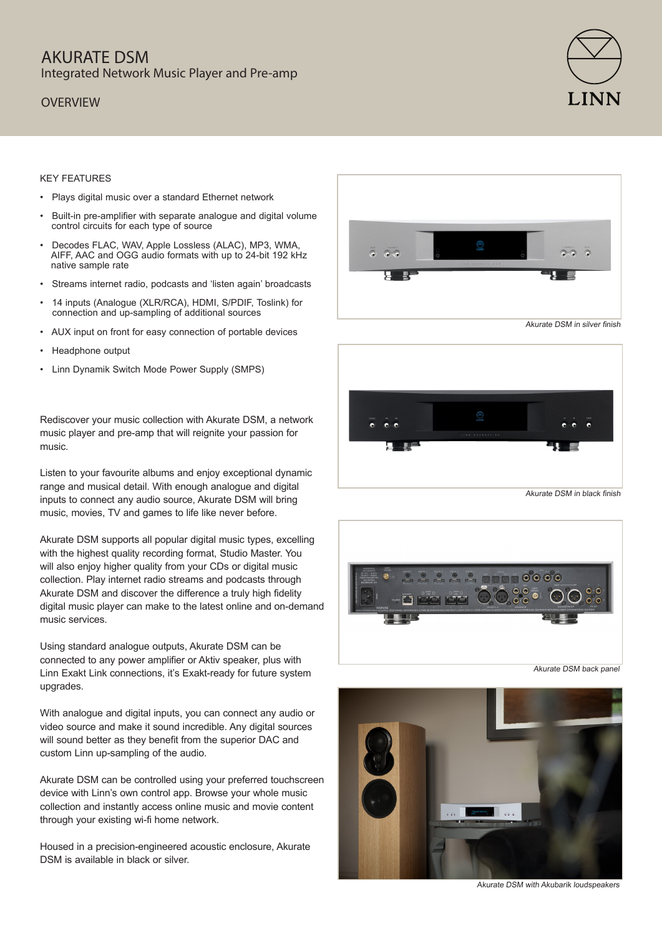## AKURATE DSM Integrated Network Music Player and Pre-amp

### **OVERVIEW**



#### KEY FEATURES

- Plays digital music over a standard Ethernet network
- Built-in pre-amplifier with separate analogue and digital volume control circuits for each type of source
- Decodes FLAC, WAV, Apple Lossless (ALAC), MP3, WMA, AIFF, AAC and OGG audio formats with up to 24-bit 192 kHz native sample rate
- Streams internet radio, podcasts and 'listen again' broadcasts
- 14 inputs (Analogue (XLR/RCA), HDMI, S/PDIF, Toslink) for connection and up-sampling of additional sources
- AUX input on front for easy connection of portable devices
- Headphone output
- Linn Dynamik Switch Mode Power Supply (SMPS)

Rediscover your music collection with Akurate DSM, a network music player and pre-amp that will reignite your passion for music.

Listen to your favourite albums and enjoy exceptional dynamic range and musical detail. With enough analogue and digital inputs to connect any audio source, Akurate DSM will bring music, movies, TV and games to life like never before.

Akurate DSM supports all popular digital music types, excelling with the highest quality recording format, Studio Master. You will also enjoy higher quality from your CDs or digital music collection. Play internet radio streams and podcasts through Akurate DSM and discover the difference a truly high fidelity digital music player can make to the latest online and on-demand music services.

Using standard analogue outputs, Akurate DSM can be connected to any power amplifier or Aktiv speaker, plus with Linn Exakt Link connections, it's Exakt-ready for future system upgrades.

With analogue and digital inputs, you can connect any audio or video source and make it sound incredible. Any digital sources will sound better as they benefit from the superior DAC and custom Linn up-sampling of the audio.

Akurate DSM can be controlled using your preferred touchscreen device with Linn's own control app. Browse your whole music collection and instantly access online music and movie content through your existing wi-fi home network.

Housed in a precision-engineered acoustic enclosure, Akurate DSM is available in black or silver.





Akurate DSM in black finish





Akurate DSM with Akubarik loudspeakers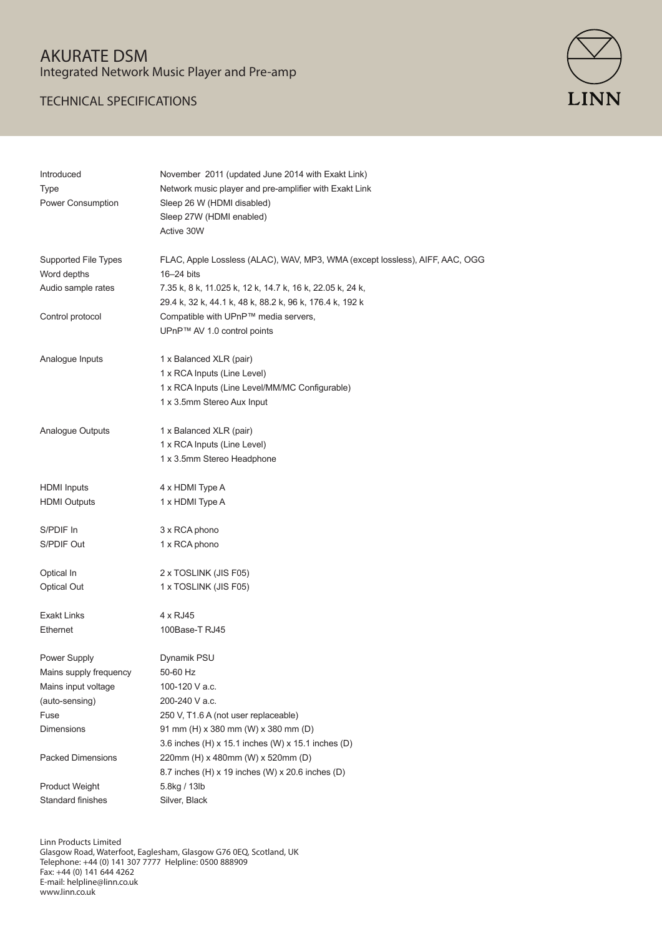# AKURATE DSM Integrated Network Music Player and Pre-amp

### TECHNICAL SPECIFICATIONS



| Introduced               | November 2011 (updated June 2014 with Exakt Link)                            |
|--------------------------|------------------------------------------------------------------------------|
| <b>Type</b>              | Network music player and pre-amplifier with Exakt Link                       |
| Power Consumption        | Sleep 26 W (HDMI disabled)                                                   |
|                          | Sleep 27W (HDMI enabled)                                                     |
|                          | Active 30W                                                                   |
| Supported File Types     | FLAC, Apple Lossless (ALAC), WAV, MP3, WMA (except lossless), AIFF, AAC, OGG |
| Word depths              | 16-24 bits                                                                   |
| Audio sample rates       | 7.35 k, 8 k, 11.025 k, 12 k, 14.7 k, 16 k, 22.05 k, 24 k,                    |
|                          | 29.4 k, 32 k, 44.1 k, 48 k, 88.2 k, 96 k, 176.4 k, 192 k                     |
| Control protocol         | Compatible with UPnP™ media servers,                                         |
|                          | UPnP™ AV 1.0 control points                                                  |
| Analogue Inputs          | 1 x Balanced XLR (pair)                                                      |
|                          | 1 x RCA Inputs (Line Level)                                                  |
|                          | 1 x RCA Inputs (Line Level/MM/MC Configurable)                               |
|                          | 1 x 3.5mm Stereo Aux Input                                                   |
|                          |                                                                              |
| Analogue Outputs         | 1 x Balanced XLR (pair)                                                      |
|                          | 1 x RCA Inputs (Line Level)                                                  |
|                          | 1 x 3.5mm Stereo Headphone                                                   |
| <b>HDMI</b> Inputs       | 4 x HDMI Type A                                                              |
| <b>HDMI Outputs</b>      | 1 x HDMI Type A                                                              |
| S/PDIF In                | 3 x RCA phono                                                                |
| S/PDIF Out               | 1 x RCA phono                                                                |
|                          |                                                                              |
| Optical In               | 2 x TOSLINK (JIS F05)                                                        |
| <b>Optical Out</b>       | 1 x TOSLINK (JIS F05)                                                        |
| <b>Exakt Links</b>       | 4 x RJ45                                                                     |
| Ethernet                 | 100Base-T RJ45                                                               |
| Power Supply             | Dynamik PSU                                                                  |
| Mains supply frequency   | 50-60 Hz                                                                     |
| Mains input voltage      | 100-120 V a.c.                                                               |
| (auto-sensing)           | 200-240 V a.c.                                                               |
| Fuse                     | 250 V, T1.6 A (not user replaceable)                                         |
| Dimensions               | 91 mm (H) x 380 mm (W) x 380 mm (D)                                          |
|                          | 3.6 inches (H) x 15.1 inches (W) x 15.1 inches (D)                           |
| <b>Packed Dimensions</b> | 220mm (H) x 480mm (W) x 520mm (D)                                            |
|                          | 8.7 inches (H) x 19 inches (W) x 20.6 inches (D)                             |
| <b>Product Weight</b>    | 5.8kg / 13lb                                                                 |
| Standard finishes        | Silver, Black                                                                |
|                          |                                                                              |

Linn Products Limited

Glasgow Road, Waterfoot, Eaglesham, Glasgow G76 0EQ, Scotland, UK Telephone: +44 (0) 141 307 7777 Helpline: 0500 888909 Fax: +44 (0) 141 644 4262 E-mail: helpline@linn.co.uk www.linn.co.uk